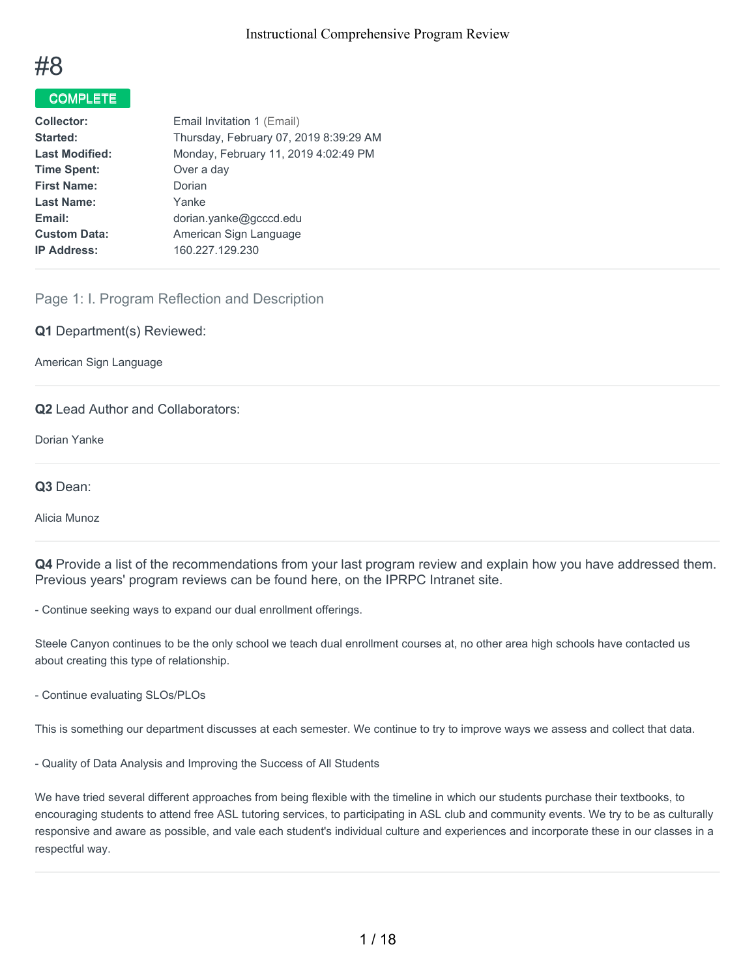

# COMPLETE

| <b>Collector:</b>     | Email Invitation 1 (Email)             |
|-----------------------|----------------------------------------|
| Started:              | Thursday, February 07, 2019 8:39:29 AM |
| <b>Last Modified:</b> | Monday, February 11, 2019 4:02:49 PM   |
| <b>Time Spent:</b>    | Over a day                             |
| <b>First Name:</b>    | Dorian                                 |
| <b>Last Name:</b>     | Yanke                                  |
| Email:                | dorian.yanke@gcccd.edu                 |
| <b>Custom Data:</b>   | American Sign Language                 |
| <b>IP Address:</b>    | 160.227.129.230                        |
|                       |                                        |

# Page 1: I. Program Reflection and Description

**Q1** Department(s) Reviewed:

American Sign Language

### **Q2** Lead Author and Collaborators:

Dorian Yanke

**Q3** Dean:

Alicia Munoz

**Q4** Provide a list of the recommendations from your last program review and explain how you have addressed them. Previous years' program reviews can be found here, on the IPRPC Intranet site.

- Continue seeking ways to expand our dual enrollment offerings.

Steele Canyon continues to be the only school we teach dual enrollment courses at, no other area high schools have contacted us about creating this type of relationship.

- Continue evaluating SLOs/PLOs

This is something our department discusses at each semester. We continue to try to improve ways we assess and collect that data.

- Quality of Data Analysis and Improving the Success of All Students

We have tried several different approaches from being flexible with the timeline in which our students purchase their textbooks, to encouraging students to attend free ASL tutoring services, to participating in ASL club and community events. We try to be as culturally responsive and aware as possible, and vale each student's individual culture and experiences and incorporate these in our classes in a respectful way.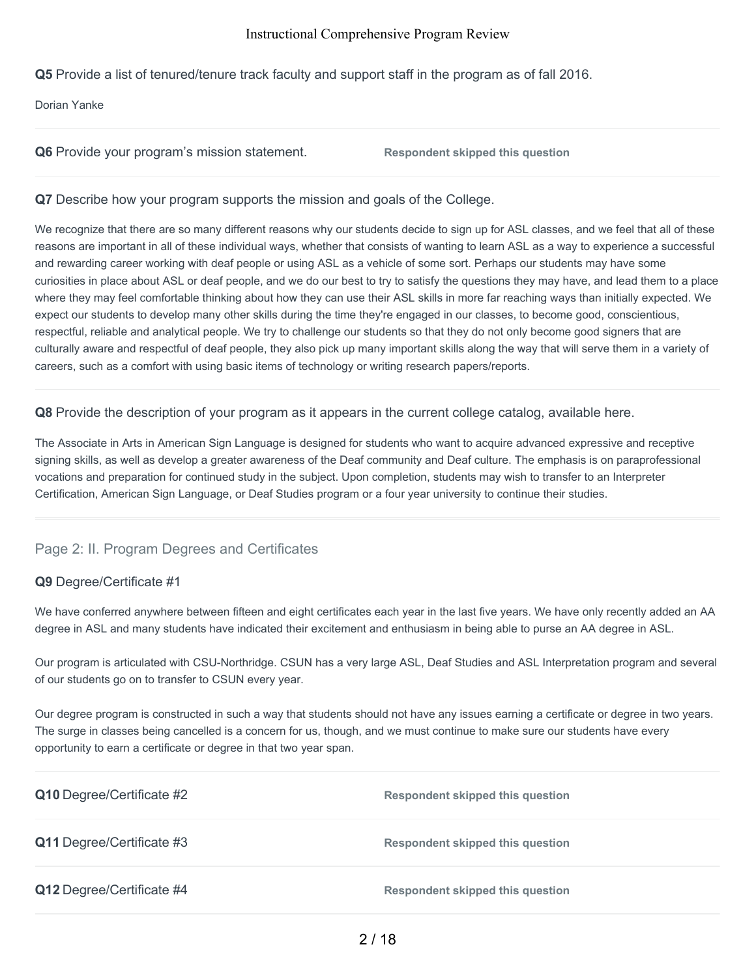**Q5** Provide a list of tenured/tenure track faculty and support staff in the program as of fall 2016.

Dorian Yanke

|  |  |  |  |  |  | Q6 Provide your program's mission statement. |
|--|--|--|--|--|--|----------------------------------------------|
|--|--|--|--|--|--|----------------------------------------------|

**Respondent skipped this question** 

## **Q7** Describe how your program supports the mission and goals of the College.

We recognize that there are so many different reasons why our students decide to sign up for ASL classes, and we feel that all of these reasons are important in all of these individual ways, whether that consists of wanting to learn ASL as a way to experience a successful and rewarding career working with deaf people or using ASL as a vehicle of some sort. Perhaps our students may have some curiosities in place about ASL or deaf people, and we do our best to try to satisfy the questions they may have, and lead them to a place where they may feel comfortable thinking about how they can use their ASL skills in more far reaching ways than initially expected. We expect our students to develop many other skills during the time they're engaged in our classes, to become good, conscientious, respectful, reliable and analytical people. We try to challenge our students so that they do not only become good signers that are culturally aware and respectful of deaf people, they also pick up many important skills along the way that will serve them in a variety of careers, such as a comfort with using basic items of technology or writing research papers/reports.

### **Q8** Provide the description of your program as it appears in the current college catalog, available here.

The Associate in Arts in American Sign Language is designed for students who want to acquire advanced expressive and receptive signing skills, as well as develop a greater awareness of the Deaf community and Deaf culture. The emphasis is on paraprofessional vocations and preparation for continued study in the subject. Upon completion, students may wish to transfer to an Interpreter Certification, American Sign Language, or Deaf Studies program or a four year university to continue their studies.

# Page 2: II. Program Degrees and Certificates

# **Q9** Degree/Certificate #1

We have conferred anywhere between fifteen and eight certificates each year in the last five years. We have only recently added an AA degree in ASL and many students have indicated their excitement and enthusiasm in being able to purse an AA degree in ASL.

Our program is articulated with CSU-Northridge. CSUN has a very large ASL, Deaf Studies and ASL Interpretation program and several of our students go on to transfer to CSUN every year.

Our degree program is constructed in such a way that students should not have any issues earning a certificate or degree in two years. The surge in classes being cancelled is a concern for us, though, and we must continue to make sure our students have every opportunity to earn a certificate or degree in that two year span.

| Q10 Degree/Certificate #2 | <b>Respondent skipped this question</b> |
|---------------------------|-----------------------------------------|
| Q11 Degree/Certificate #3 | Respondent skipped this question        |
| Q12 Degree/Certificate #4 | <b>Respondent skipped this question</b> |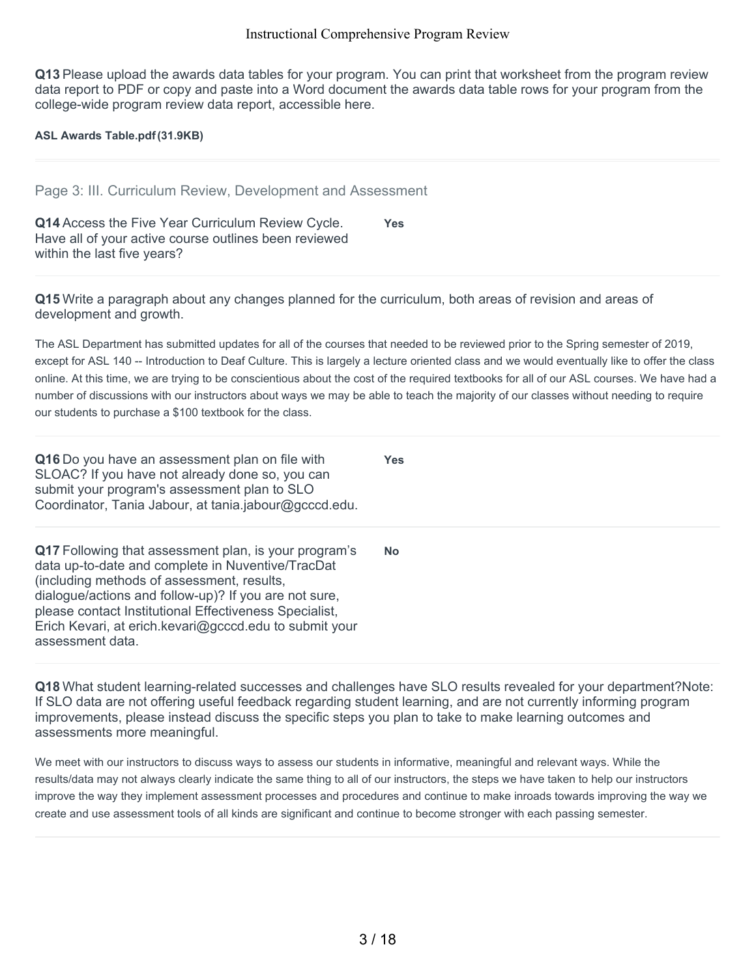**Q13** Please upload the awards data tables for your program. You can print that worksheet from the program review data report to PDF or copy and paste into a Word document the awards data table rows for your program from the college-wide program review data report, accessible here.

**ASL Awards Table.pdf(31.9KB)**

Page 3: III. Curriculum Review, Development and Assessment

**Q14** Access the Five Year Curriculum Review Cycle. Have all of your active course outlines been reviewed within the last five years? **Yes**

**Q15** Write a paragraph about any changes planned for the curriculum, both areas of revision and areas of development and growth.

The ASL Department has submitted updates for all of the courses that needed to be reviewed prior to the Spring semester of 2019, except for ASL 140 -- Introduction to Deaf Culture. This is largely a lecture oriented class and we would eventually like to offer the class online. At this time, we are trying to be conscientious about the cost of the required textbooks for all of our ASL courses. We have had a number of discussions with our instructors about ways we may be able to teach the majority of our classes without needing to require our students to purchase a \$100 textbook for the class.

**Yes**

**Q16** Do you have an assessment plan on file with SLOAC? If you have not already done so, you can submit your program's assessment plan to SLO Coordinator, Tania Jabour, at tania.jabour@gcccd.edu.

**Q17** Following that assessment plan, is your program's data up-to-date and complete in Nuventive/TracDat (including methods of assessment, results, dialogue/actions and follow-up)? If you are not sure, please contact Institutional Effectiveness Specialist, Erich Kevari, at erich.kevari@gcccd.edu to submit your assessment data. **No**

**Q18** What student learning-related successes and challenges have SLO results revealed for your department?Note: If SLO data are not offering useful feedback regarding student learning, and are not currently informing program improvements, please instead discuss the specific steps you plan to take to make learning outcomes and assessments more meaningful.

We meet with our instructors to discuss ways to assess our students in informative, meaningful and relevant ways. While the results/data may not always clearly indicate the same thing to all of our instructors, the steps we have taken to help our instructors improve the way they implement assessment processes and procedures and continue to make inroads towards improving the way we create and use assessment tools of all kinds are significant and continue to become stronger with each passing semester.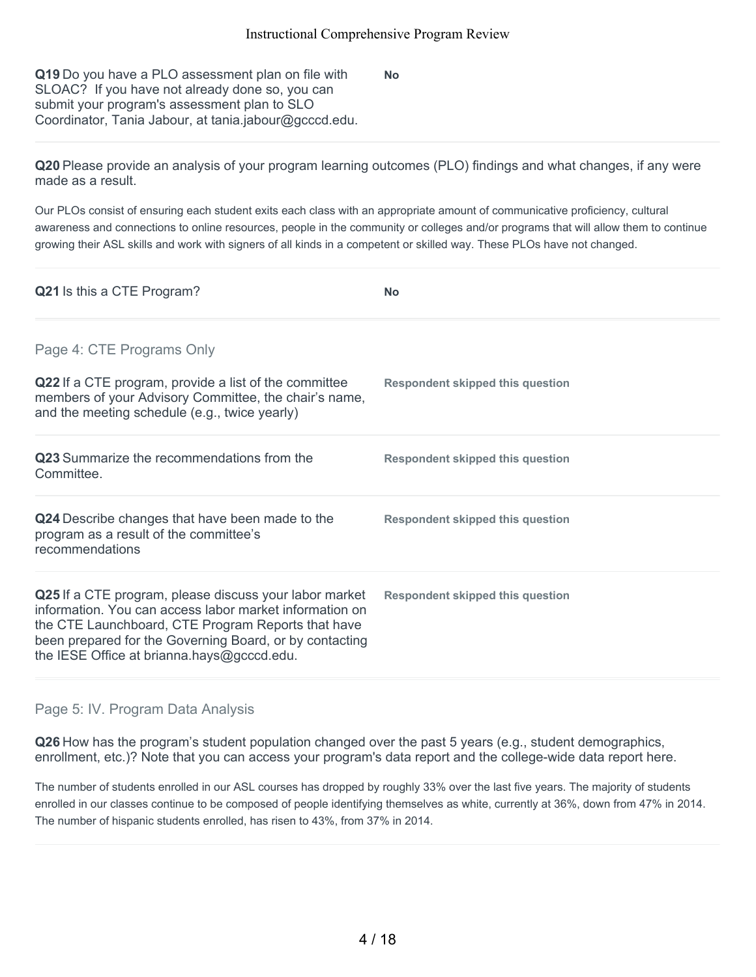**Q19** Do you have a PLO assessment plan on file with SLOAC? If you have not already done so, you can submit your program's assessment plan to SLO Coordinator, Tania Jabour, at tania.jabour@gcccd.edu.

**No**

**Q20** Please provide an analysis of your program learning outcomes (PLO) findings and what changes, if any were made as a result.

Our PLOs consist of ensuring each student exits each class with an appropriate amount of communicative proficiency, cultural awareness and connections to online resources, people in the community or colleges and/or programs that will allow them to continue growing their ASL skills and work with signers of all kinds in a competent or skilled way. These PLOs have not changed.

| Q21 Is this a CTE Program?                                                                                                                                                                                                                                                       | <b>No</b>                               |
|----------------------------------------------------------------------------------------------------------------------------------------------------------------------------------------------------------------------------------------------------------------------------------|-----------------------------------------|
| Page 4: CTE Programs Only                                                                                                                                                                                                                                                        |                                         |
| Q22 If a CTE program, provide a list of the committee<br>members of your Advisory Committee, the chair's name,<br>and the meeting schedule (e.g., twice yearly)                                                                                                                  | Respondent skipped this question        |
| Q23 Summarize the recommendations from the<br>Committee.                                                                                                                                                                                                                         | Respondent skipped this question        |
| Q24 Describe changes that have been made to the<br>program as a result of the committee's<br>recommendations                                                                                                                                                                     | <b>Respondent skipped this question</b> |
| Q25 If a CTE program, please discuss your labor market<br>information. You can access labor market information on<br>the CTE Launchboard, CTE Program Reports that have<br>been prepared for the Governing Board, or by contacting<br>the IESE Office at brianna.hays@gcccd.edu. | <b>Respondent skipped this question</b> |

# Page 5: IV. Program Data Analysis

**Q26** How has the program's student population changed over the past 5 years (e.g., student demographics, enrollment, etc.)? Note that you can access your program's data report and the college-wide data report here.

The number of students enrolled in our ASL courses has dropped by roughly 33% over the last five years. The majority of students enrolled in our classes continue to be composed of people identifying themselves as white, currently at 36%, down from 47% in 2014. The number of hispanic students enrolled, has risen to 43%, from 37% in 2014.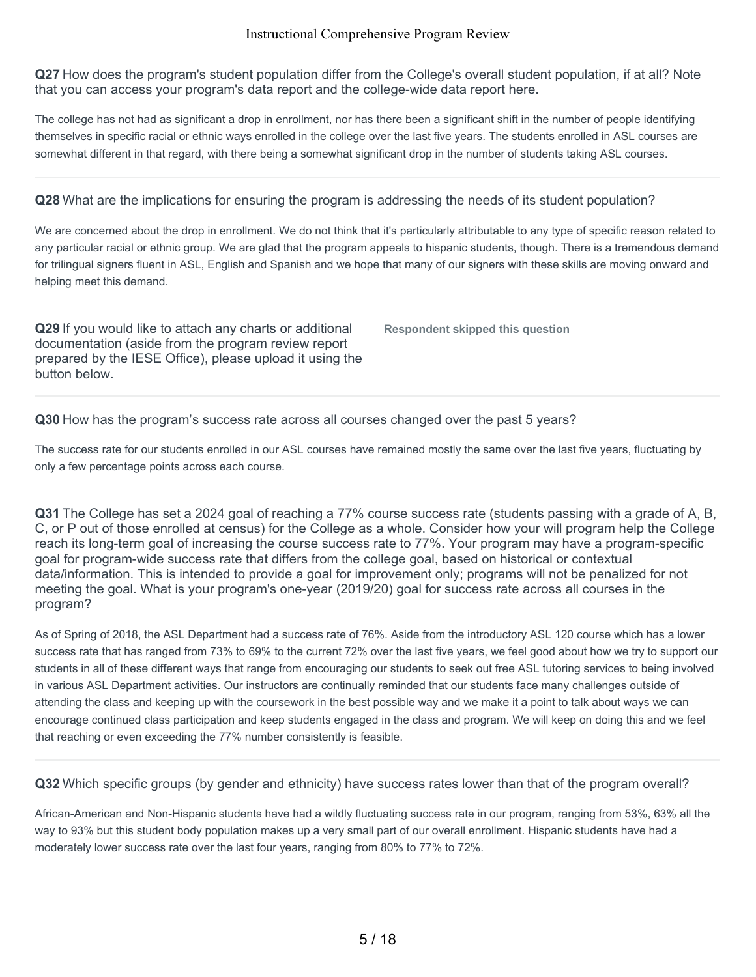**Q27** How does the program's student population differ from the College's overall student population, if at all? Note that you can access your program's data report and the college-wide data report here.

The college has not had as significant a drop in enrollment, nor has there been a significant shift in the number of people identifying themselves in specific racial or ethnic ways enrolled in the college over the last five years. The students enrolled in ASL courses are somewhat different in that regard, with there being a somewhat significant drop in the number of students taking ASL courses.

**Q28** What are the implications for ensuring the program is addressing the needs of its student population?

We are concerned about the drop in enrollment. We do not think that it's particularly attributable to any type of specific reason related to any particular racial or ethnic group. We are glad that the program appeals to hispanic students, though. There is a tremendous demand for trilingual signers fluent in ASL, English and Spanish and we hope that many of our signers with these skills are moving onward and helping meet this demand.

**Q29** If you would like to attach any charts or additional documentation (aside from the program review report prepared by the IESE Office), please upload it using the button below.

**Respondent skipped this question**

**Q30** How has the program's success rate across all courses changed over the past 5 years?

The success rate for our students enrolled in our ASL courses have remained mostly the same over the last five years, fluctuating by only a few percentage points across each course.

**Q31** The College has set a 2024 goal of reaching a 77% course success rate (students passing with a grade of A, B, C, or P out of those enrolled at census) for the College as a whole. Consider how your will program help the College reach its long-term goal of increasing the course success rate to 77%. Your program may have a program-specific goal for program-wide success rate that differs from the college goal, based on historical or contextual data/information. This is intended to provide a goal for improvement only; programs will not be penalized for not meeting the goal. What is your program's one-year (2019/20) goal for success rate across all courses in the program?

As of Spring of 2018, the ASL Department had a success rate of 76%. Aside from the introductory ASL 120 course which has a lower success rate that has ranged from 73% to 69% to the current 72% over the last five years, we feel good about how we try to support our students in all of these different ways that range from encouraging our students to seek out free ASL tutoring services to being involved in various ASL Department activities. Our instructors are continually reminded that our students face many challenges outside of attending the class and keeping up with the coursework in the best possible way and we make it a point to talk about ways we can encourage continued class participation and keep students engaged in the class and program. We will keep on doing this and we feel that reaching or even exceeding the 77% number consistently is feasible.

**Q32** Which specific groups (by gender and ethnicity) have success rates lower than that of the program overall?

African-American and Non-Hispanic students have had a wildly fluctuating success rate in our program, ranging from 53%, 63% all the way to 93% but this student body population makes up a very small part of our overall enrollment. Hispanic students have had a moderately lower success rate over the last four years, ranging from 80% to 77% to 72%.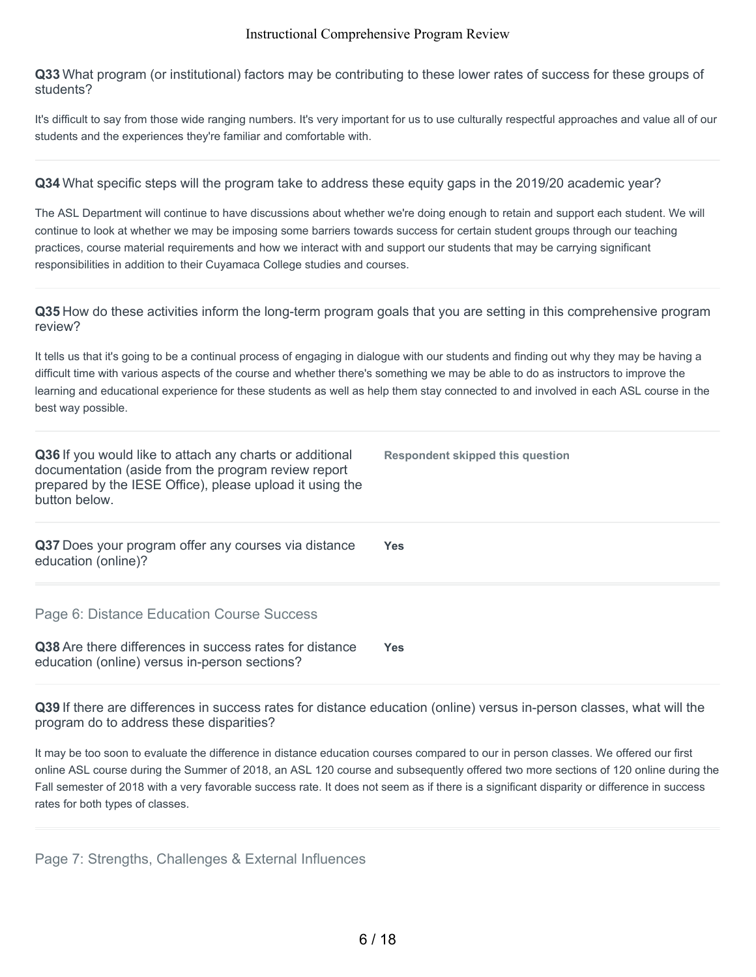**Q33** What program (or institutional) factors may be contributing to these lower rates of success for these groups of students?

It's difficult to say from those wide ranging numbers. It's very important for us to use culturally respectful approaches and value all of our students and the experiences they're familiar and comfortable with.

**Q34** What specific steps will the program take to address these equity gaps in the 2019/20 academic year?

The ASL Department will continue to have discussions about whether we're doing enough to retain and support each student. We will continue to look at whether we may be imposing some barriers towards success for certain student groups through our teaching practices, course material requirements and how we interact with and support our students that may be carrying significant responsibilities in addition to their Cuyamaca College studies and courses.

**Q35** How do these activities inform the long-term program goals that you are setting in this comprehensive program review?

It tells us that it's going to be a continual process of engaging in dialogue with our students and finding out why they may be having a difficult time with various aspects of the course and whether there's something we may be able to do as instructors to improve the learning and educational experience for these students as well as help them stay connected to and involved in each ASL course in the best way possible.

| Q36 If you would like to attach any charts or additional<br>documentation (aside from the program review report<br>prepared by the IESE Office), please upload it using the<br>button below. | Respondent skipped this question |
|----------------------------------------------------------------------------------------------------------------------------------------------------------------------------------------------|----------------------------------|
| Q37 Does your program offer any courses via distance<br>education (online)?                                                                                                                  | <b>Yes</b>                       |
| Page 6: Distance Education Course Success                                                                                                                                                    |                                  |
| Q38 Are there differences in success rates for distance<br>education (online) versus in-person sections?                                                                                     | Yes.                             |

**Q39** If there are differences in success rates for distance education (online) versus in-person classes, what will the program do to address these disparities?

It may be too soon to evaluate the difference in distance education courses compared to our in person classes. We offered our first online ASL course during the Summer of 2018, an ASL 120 course and subsequently offered two more sections of 120 online during the Fall semester of 2018 with a very favorable success rate. It does not seem as if there is a significant disparity or difference in success rates for both types of classes.

Page 7: Strengths, Challenges & External Influences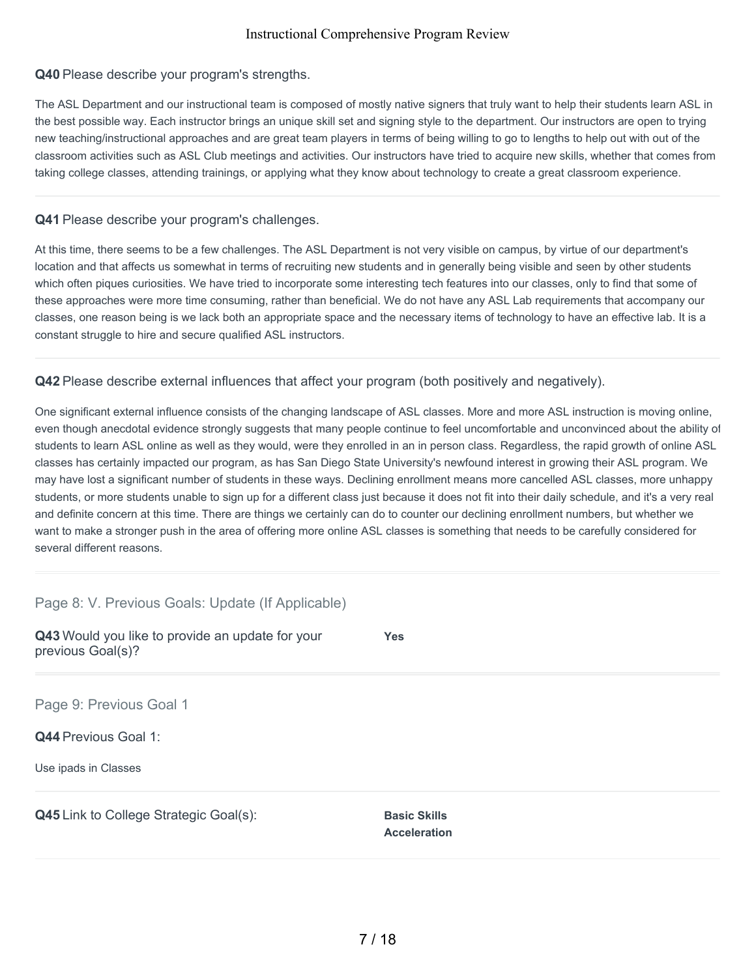### **Q40** Please describe your program's strengths.

The ASL Department and our instructional team is composed of mostly native signers that truly want to help their students learn ASL in the best possible way. Each instructor brings an unique skill set and signing style to the department. Our instructors are open to trying new teaching/instructional approaches and are great team players in terms of being willing to go to lengths to help out with out of the classroom activities such as ASL Club meetings and activities. Our instructors have tried to acquire new skills, whether that comes from taking college classes, attending trainings, or applying what they know about technology to create a great classroom experience.

### **Q41** Please describe your program's challenges.

At this time, there seems to be a few challenges. The ASL Department is not very visible on campus, by virtue of our department's location and that affects us somewhat in terms of recruiting new students and in generally being visible and seen by other students which often piques curiosities. We have tried to incorporate some interesting tech features into our classes, only to find that some of these approaches were more time consuming, rather than beneficial. We do not have any ASL Lab requirements that accompany our classes, one reason being is we lack both an appropriate space and the necessary items of technology to have an effective lab. It is a constant struggle to hire and secure qualified ASL instructors.

# **Q42** Please describe external influences that affect your program (both positively and negatively).

One significant external influence consists of the changing landscape of ASL classes. More and more ASL instruction is moving online, even though anecdotal evidence strongly suggests that many people continue to feel uncomfortable and unconvinced about the ability of students to learn ASL online as well as they would, were they enrolled in an in person class. Regardless, the rapid growth of online ASL classes has certainly impacted our program, as has San Diego State University's newfound interest in growing their ASL program. We may have lost a significant number of students in these ways. Declining enrollment means more cancelled ASL classes, more unhappy students, or more students unable to sign up for a different class just because it does not fit into their daily schedule, and it's a very real and definite concern at this time. There are things we certainly can do to counter our declining enrollment numbers, but whether we want to make a stronger push in the area of offering more online ASL classes is something that needs to be carefully considered for several different reasons.

Page 8: V. Previous Goals: Update (If Applicable)

| Q43 Would you like to provide an update for your<br>previous Goal(s)? | <b>Yes</b>                                 |
|-----------------------------------------------------------------------|--------------------------------------------|
| Page 9: Previous Goal 1                                               |                                            |
| <b>Q44 Previous Goal 1:</b>                                           |                                            |
| Use ipads in Classes                                                  |                                            |
| <b>Q45</b> Link to College Strategic Goal(s):                         | <b>Basic Skills</b><br><b>Acceleration</b> |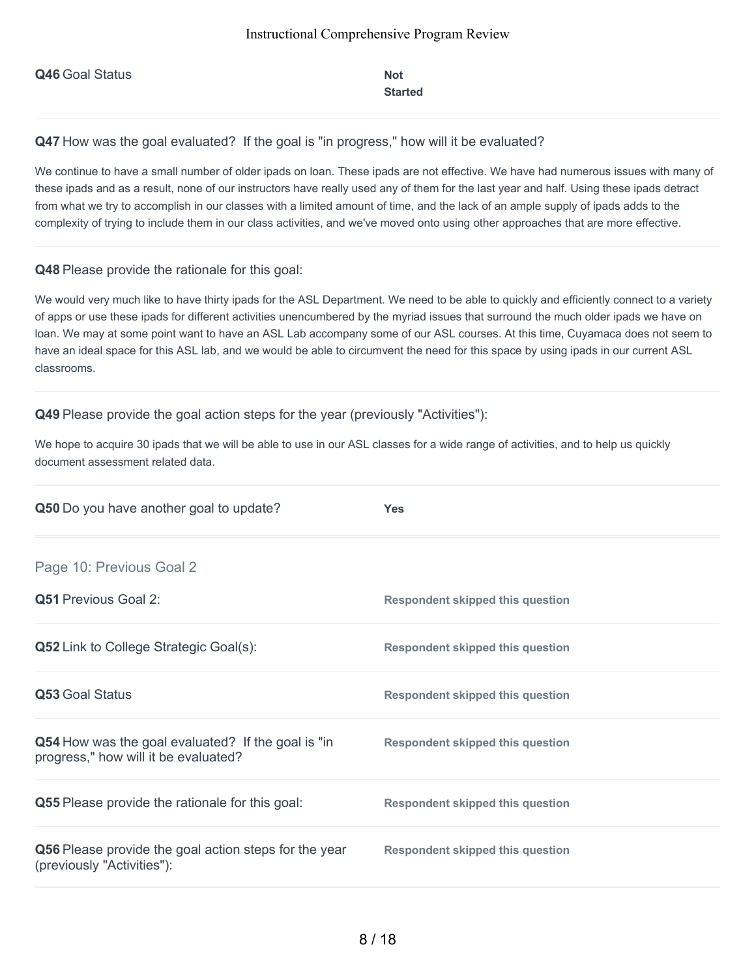**Q46** Goal Status **Not** 

# **Started**

Q47 How was the goal evaluated? If the goal is "in progress," how will it be evaluated?

We continue to have a small number of older ipads on loan. These ipads are not effective. We have had numerous issues with many of these ipads and as a result, none of our instructors have really used any of them for the last year and half. Using these ipads detract from what we try to accomplish in our classes with a limited amount of time, and the lack of an ample supply of ipads adds to the complexity of trying to include them in our class activities, and we've moved onto using other approaches that are more effective.

### **Q48** Please provide the rationale for this goal:

We would very much like to have thirty ipads for the ASL Department. We need to be able to quickly and efficiently connect to a variety of apps or use these ipads for different activities unencumbered by the myriad issues that surround the much older ipads we have on loan. We may at some point want to have an ASL Lab accompany some of our ASL courses. At this time, Cuyamaca does not seem to have an ideal space for this ASL lab, and we would be able to circumvent the need for this space by using ipads in our current ASL classrooms.

### **Q49** Please provide the goal action steps for the year (previously "Activities"):

We hope to acquire 30 ipads that we will be able to use in our ASL classes for a wide range of activities, and to help us quickly document assessment related data.

| Q50 Do you have another goal to update?                                                    | <b>Yes</b>                              |
|--------------------------------------------------------------------------------------------|-----------------------------------------|
| Page 10: Previous Goal 2                                                                   |                                         |
| <b>Q51 Previous Goal 2:</b>                                                                | <b>Respondent skipped this question</b> |
| <b>Q52</b> Link to College Strategic Goal(s):                                              | <b>Respondent skipped this question</b> |
| Q53 Goal Status                                                                            | <b>Respondent skipped this question</b> |
| Q54 How was the goal evaluated? If the goal is "in<br>progress," how will it be evaluated? | <b>Respondent skipped this question</b> |
| Q55 Please provide the rationale for this goal:                                            | <b>Respondent skipped this question</b> |
| Q56 Please provide the goal action steps for the year<br>(previously "Activities"):        | <b>Respondent skipped this question</b> |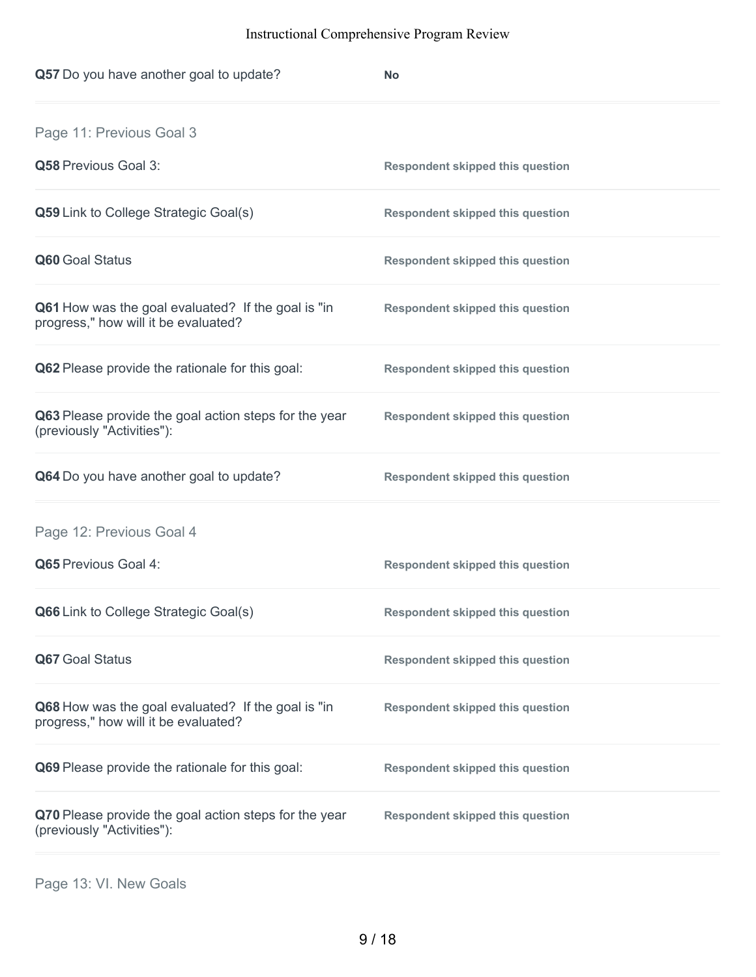| Q57 Do you have another goal to update?                                                    | <b>No</b>                               |
|--------------------------------------------------------------------------------------------|-----------------------------------------|
| Page 11: Previous Goal 3                                                                   |                                         |
| Q58 Previous Goal 3:                                                                       | <b>Respondent skipped this question</b> |
| Q59 Link to College Strategic Goal(s)                                                      | <b>Respondent skipped this question</b> |
| Q60 Goal Status                                                                            | <b>Respondent skipped this question</b> |
| Q61 How was the goal evaluated? If the goal is "in<br>progress," how will it be evaluated? | <b>Respondent skipped this question</b> |
| Q62 Please provide the rationale for this goal:                                            | <b>Respondent skipped this question</b> |
| Q63 Please provide the goal action steps for the year<br>(previously "Activities"):        | <b>Respondent skipped this question</b> |
| Q64 Do you have another goal to update?                                                    | <b>Respondent skipped this question</b> |
| Page 12: Previous Goal 4                                                                   |                                         |
| Q65 Previous Goal 4:                                                                       | <b>Respondent skipped this question</b> |
| Q66 Link to College Strategic Goal(s)                                                      | <b>Respondent skipped this question</b> |
| Q67 Goal Status                                                                            | <b>Respondent skipped this question</b> |
| Q68 How was the goal evaluated? If the goal is "in<br>progress," how will it be evaluated? | <b>Respondent skipped this question</b> |
| Q69 Please provide the rationale for this goal:                                            | <b>Respondent skipped this question</b> |
| Q70 Please provide the goal action steps for the year<br>(previously "Activities"):        | <b>Respondent skipped this question</b> |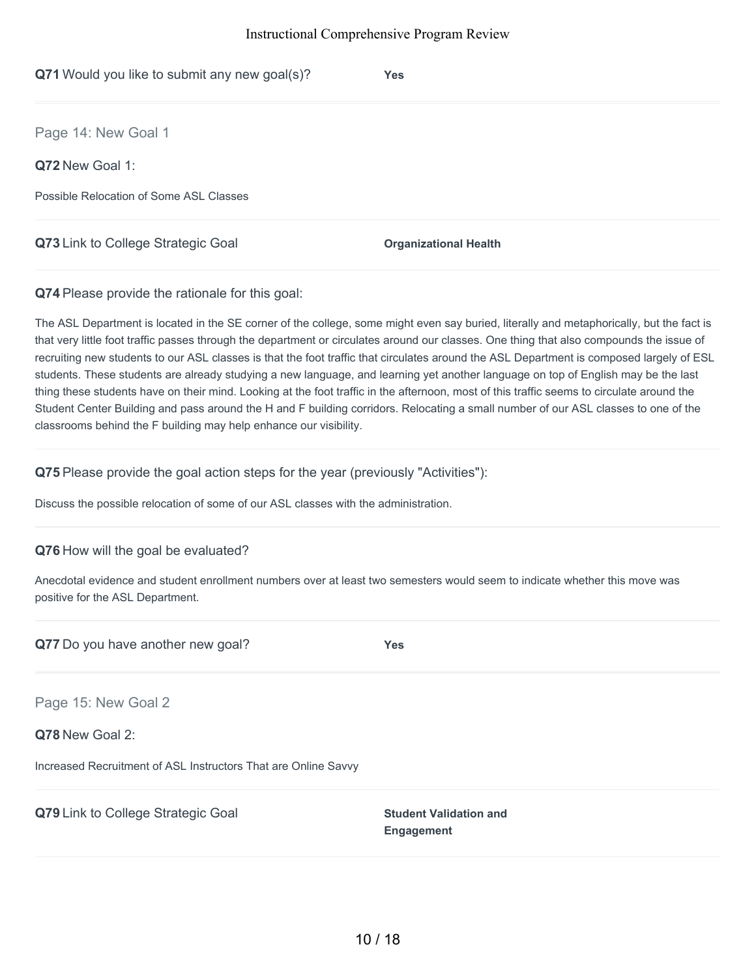| Q71 Would you like to submit any new goal(s)? | <b>Yes</b>                   |
|-----------------------------------------------|------------------------------|
| Page 14: New Goal 1                           |                              |
| Q72 New Goal 1:                               |                              |
| Possible Relocation of Some ASL Classes       |                              |
| Q73 Link to College Strategic Goal            | <b>Organizational Health</b> |

**Q74** Please provide the rationale for this goal:

The ASL Department is located in the SE corner of the college, some might even say buried, literally and metaphorically, but the fact is that very little foot traffic passes through the department or circulates around our classes. One thing that also compounds the issue of recruiting new students to our ASL classes is that the foot traffic that circulates around the ASL Department is composed largely of ESL students. These students are already studying a new language, and learning yet another language on top of English may be the last thing these students have on their mind. Looking at the foot traffic in the afternoon, most of this traffic seems to circulate around the Student Center Building and pass around the H and F building corridors. Relocating a small number of our ASL classes to one of the classrooms behind the F building may help enhance our visibility.

**Q75** Please provide the goal action steps for the year (previously "Activities"):

Discuss the possible relocation of some of our ASL classes with the administration.

# **Q76** How will the goal be evaluated?

Anecdotal evidence and student enrollment numbers over at least two semesters would seem to indicate whether this move was positive for the ASL Department.

**Q77** Do you have another new goal? **Yes**

Page 15: New Goal 2

**Q78** New Goal 2:

Increased Recruitment of ASL Instructors That are Online Savvy

**Q79** Link to College Strategic Goal **Student Validation** and

**Engagement**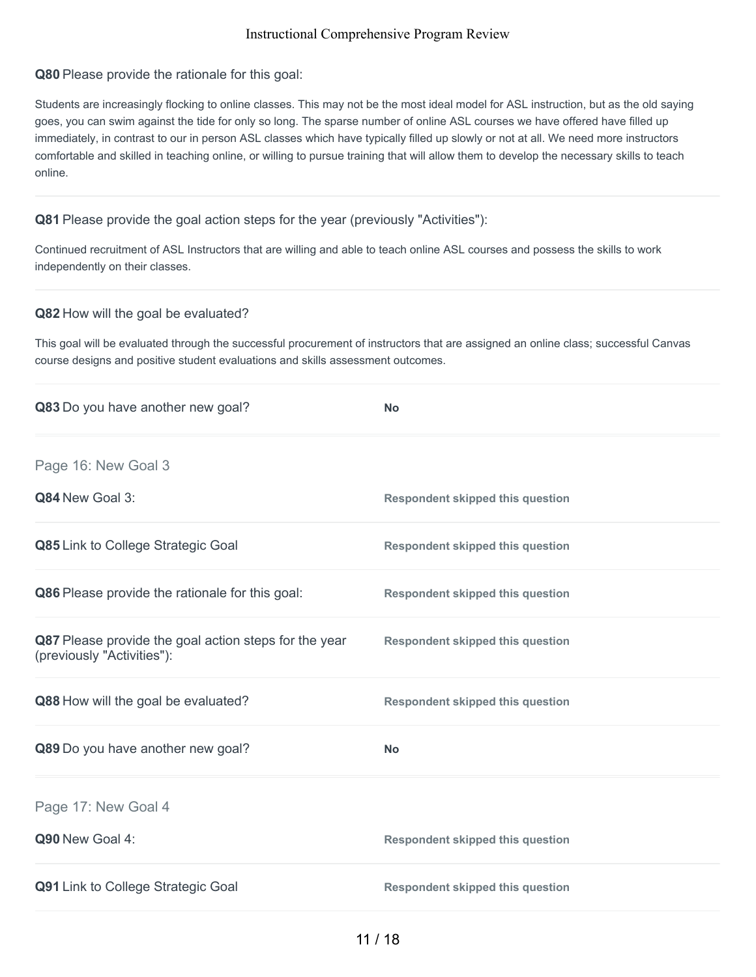### **Q80** Please provide the rationale for this goal:

Students are increasingly flocking to online classes. This may not be the most ideal model for ASL instruction, but as the old saying goes, you can swim against the tide for only so long. The sparse number of online ASL courses we have offered have filled up immediately, in contrast to our in person ASL classes which have typically filled up slowly or not at all. We need more instructors comfortable and skilled in teaching online, or willing to pursue training that will allow them to develop the necessary skills to teach online.

# **Q81** Please provide the goal action steps for the year (previously "Activities"):

Continued recruitment of ASL Instructors that are willing and able to teach online ASL courses and possess the skills to work independently on their classes.

### **Q82** How will the goal be evaluated?

This goal will be evaluated through the successful procurement of instructors that are assigned an online class; successful Canvas course designs and positive student evaluations and skills assessment outcomes.

| Q83 Do you have another new goal?                                                   | <b>No</b>                               |
|-------------------------------------------------------------------------------------|-----------------------------------------|
| Page 16: New Goal 3                                                                 |                                         |
| Q84 New Goal 3:                                                                     | <b>Respondent skipped this question</b> |
| Q85 Link to College Strategic Goal                                                  | <b>Respondent skipped this question</b> |
| Q86 Please provide the rationale for this goal:                                     | <b>Respondent skipped this question</b> |
| Q87 Please provide the goal action steps for the year<br>(previously "Activities"): | <b>Respondent skipped this question</b> |
| Q88 How will the goal be evaluated?                                                 | <b>Respondent skipped this question</b> |
| Q89 Do you have another new goal?                                                   | <b>No</b>                               |
| Page 17: New Goal 4                                                                 |                                         |
| Q90 New Goal 4:                                                                     | <b>Respondent skipped this question</b> |
| Q91 Link to College Strategic Goal                                                  | <b>Respondent skipped this question</b> |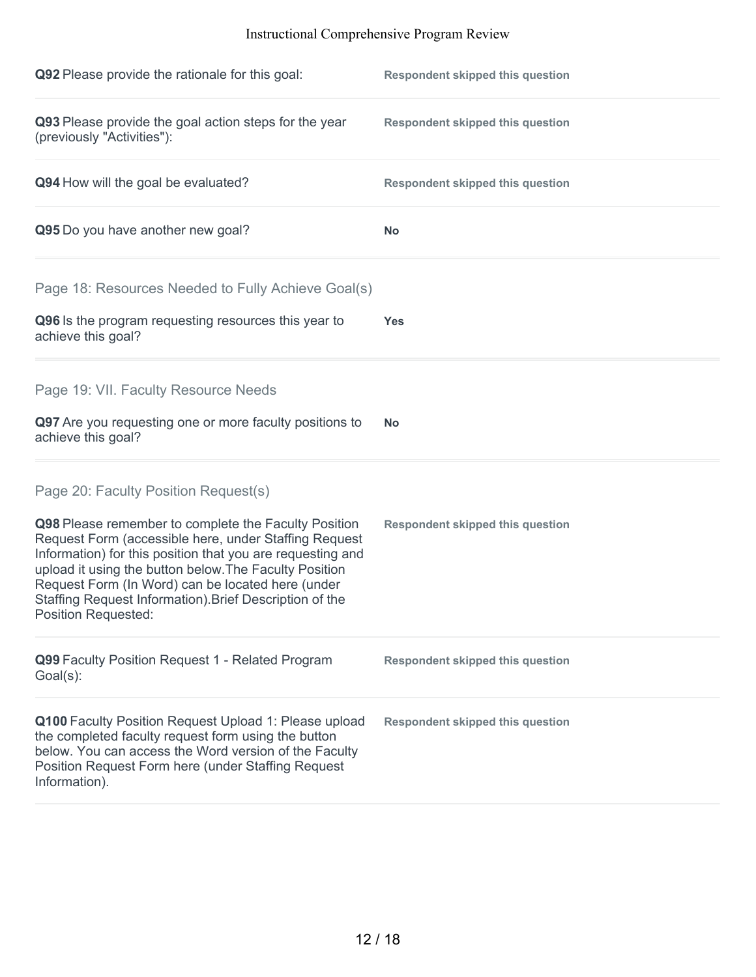| Q92 Please provide the rationale for this goal:                                                                                                                                                                                                                                                                                                                                                                             | <b>Respondent skipped this question</b> |
|-----------------------------------------------------------------------------------------------------------------------------------------------------------------------------------------------------------------------------------------------------------------------------------------------------------------------------------------------------------------------------------------------------------------------------|-----------------------------------------|
| Q93 Please provide the goal action steps for the year<br>(previously "Activities"):                                                                                                                                                                                                                                                                                                                                         | <b>Respondent skipped this question</b> |
| Q94 How will the goal be evaluated?                                                                                                                                                                                                                                                                                                                                                                                         | <b>Respondent skipped this question</b> |
| Q95 Do you have another new goal?                                                                                                                                                                                                                                                                                                                                                                                           | <b>No</b>                               |
| Page 18: Resources Needed to Fully Achieve Goal(s)                                                                                                                                                                                                                                                                                                                                                                          |                                         |
| Q96 Is the program requesting resources this year to<br>achieve this goal?                                                                                                                                                                                                                                                                                                                                                  | <b>Yes</b>                              |
| Page 19: VII. Faculty Resource Needs                                                                                                                                                                                                                                                                                                                                                                                        |                                         |
| Q97 Are you requesting one or more faculty positions to<br>achieve this goal?                                                                                                                                                                                                                                                                                                                                               | <b>No</b>                               |
| Page 20: Faculty Position Request(s)<br>Q98 Please remember to complete the Faculty Position<br>Request Form (accessible here, under Staffing Request<br>Information) for this position that you are requesting and<br>upload it using the button below. The Faculty Position<br>Request Form (In Word) can be located here (under<br>Staffing Request Information). Brief Description of the<br><b>Position Requested:</b> | <b>Respondent skipped this question</b> |
| Q99 Faculty Position Request 1 - Related Program<br>Goal(s):                                                                                                                                                                                                                                                                                                                                                                | <b>Respondent skipped this question</b> |
| Q100 Faculty Position Request Upload 1: Please upload<br>the completed faculty request form using the button<br>below. You can access the Word version of the Faculty<br>Position Request Form here (under Staffing Request<br>Information).                                                                                                                                                                                | <b>Respondent skipped this question</b> |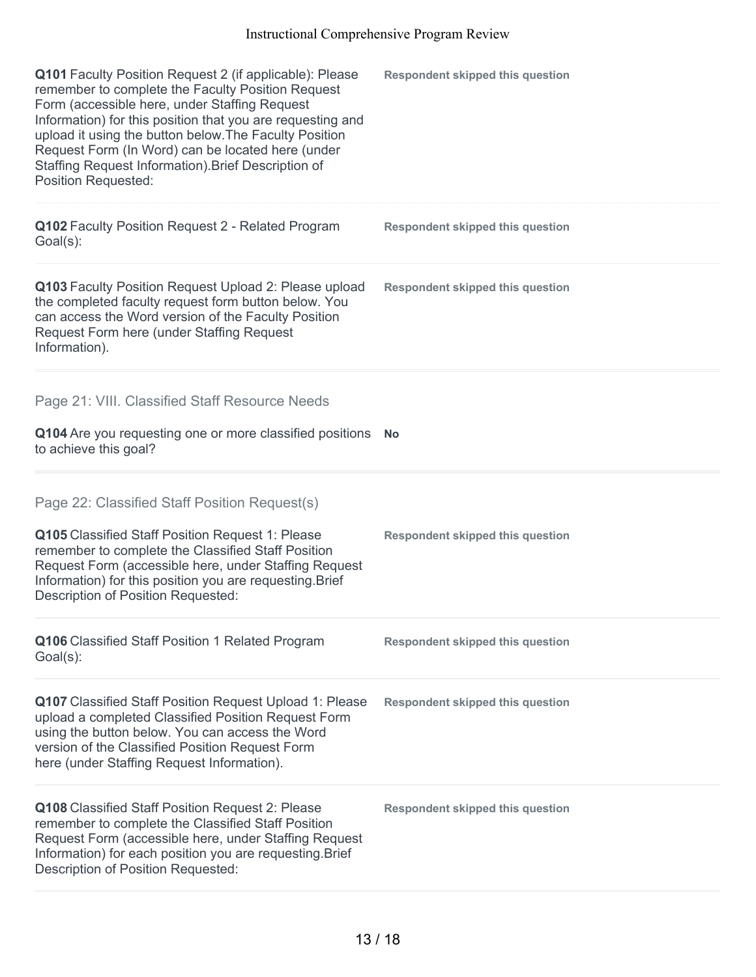| Q101 Faculty Position Request 2 (if applicable): Please<br>remember to complete the Faculty Position Request<br>Form (accessible here, under Staffing Request<br>Information) for this position that you are requesting and<br>upload it using the button below. The Faculty Position<br>Request Form (In Word) can be located here (under<br>Staffing Request Information). Brief Description of<br>Position Requested: | <b>Respondent skipped this question</b> |
|--------------------------------------------------------------------------------------------------------------------------------------------------------------------------------------------------------------------------------------------------------------------------------------------------------------------------------------------------------------------------------------------------------------------------|-----------------------------------------|
| Q102 Faculty Position Request 2 - Related Program<br>$Goal(s)$ :                                                                                                                                                                                                                                                                                                                                                         | <b>Respondent skipped this question</b> |
| Q103 Faculty Position Request Upload 2: Please upload<br>the completed faculty request form button below. You<br>can access the Word version of the Faculty Position<br>Request Form here (under Staffing Request<br>Information).                                                                                                                                                                                       | <b>Respondent skipped this question</b> |
| Page 21: VIII. Classified Staff Resource Needs                                                                                                                                                                                                                                                                                                                                                                           |                                         |
| Q104 Are you requesting one or more classified positions<br>to achieve this goal?                                                                                                                                                                                                                                                                                                                                        | <b>No</b>                               |
| Page 22: Classified Staff Position Request(s)                                                                                                                                                                                                                                                                                                                                                                            |                                         |
|                                                                                                                                                                                                                                                                                                                                                                                                                          |                                         |
| Q105 Classified Staff Position Request 1: Please<br>remember to complete the Classified Staff Position<br>Request Form (accessible here, under Staffing Request<br>Information) for this position you are requesting. Brief<br>Description of Position Requested:                                                                                                                                                        | <b>Respondent skipped this question</b> |
| Q106 Classified Staff Position 1 Related Program<br>Goal(s):                                                                                                                                                                                                                                                                                                                                                             | <b>Respondent skipped this question</b> |
| <b>Q107</b> Classified Staff Position Request Upload 1: Please<br>upload a completed Classified Position Request Form<br>using the button below. You can access the Word<br>version of the Classified Position Request Form<br>here (under Staffing Request Information).                                                                                                                                                | <b>Respondent skipped this question</b> |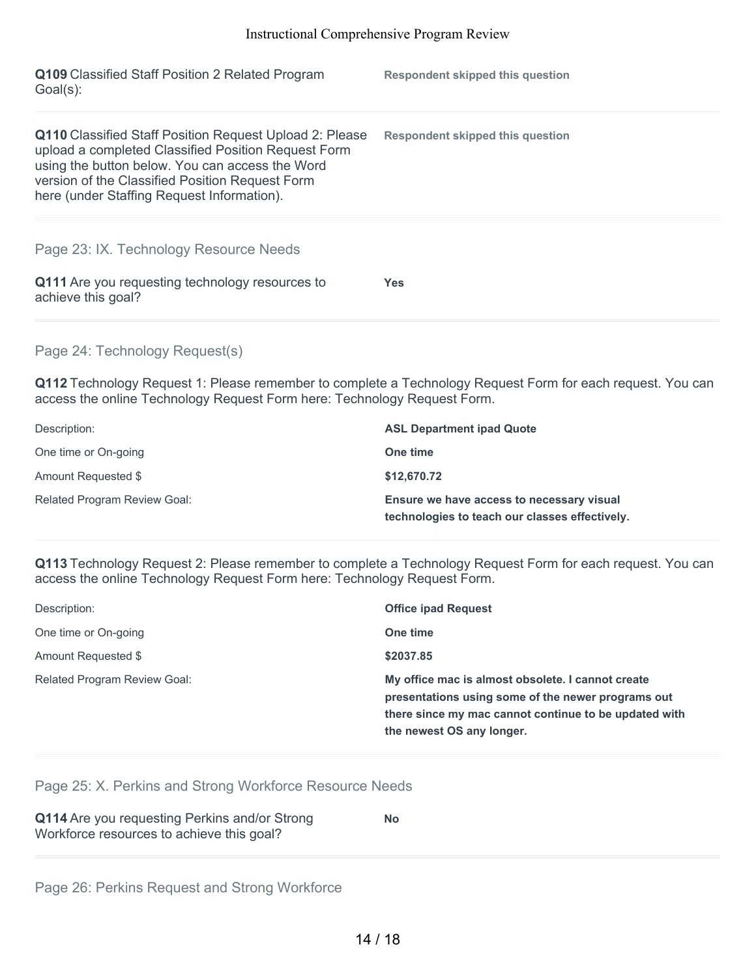| Q109 Classified Staff Position 2 Related Program<br>Goal(s):                                                                                                                                                                                                              | <b>Respondent skipped this question</b> |
|---------------------------------------------------------------------------------------------------------------------------------------------------------------------------------------------------------------------------------------------------------------------------|-----------------------------------------|
| <b>Q110</b> Classified Staff Position Request Upload 2: Please<br>upload a completed Classified Position Request Form<br>using the button below. You can access the Word<br>version of the Classified Position Request Form<br>here (under Staffing Request Information). | <b>Respondent skipped this question</b> |
| Page 23: IX. Technology Resource Needs<br>Q111 Are you requesting technology resources to<br>achieve this goal?                                                                                                                                                           | Yes.                                    |

## Page 24: Technology Request(s)

**Q112** Technology Request 1: Please remember to complete a Technology Request Form for each request. You can access the online Technology Request Form here: Technology Request Form.

| Description:                        | <b>ASL Department ipad Quote</b>                                                            |
|-------------------------------------|---------------------------------------------------------------------------------------------|
| One time or On-going                | One time                                                                                    |
| Amount Requested \$                 | \$12,670.72                                                                                 |
| <b>Related Program Review Goal:</b> | Ensure we have access to necessary visual<br>technologies to teach our classes effectively. |

**Q113** Technology Request 2: Please remember to complete a Technology Request Form for each request. You can access the online Technology Request Form here: Technology Request Form.

| Description:                        | <b>Office ipad Request</b>                                                                                                                                                                    |
|-------------------------------------|-----------------------------------------------------------------------------------------------------------------------------------------------------------------------------------------------|
| One time or On-going                | One time                                                                                                                                                                                      |
| Amount Requested \$                 | \$2037.85                                                                                                                                                                                     |
| <b>Related Program Review Goal:</b> | My office mac is almost obsolete. I cannot create<br>presentations using some of the newer programs out<br>there since my mac cannot continue to be updated with<br>the newest OS any longer. |

Page 25: X. Perkins and Strong Workforce Resource Needs

| Q114 Are you requesting Perkins and/or Strong | <b>No</b> |  |
|-----------------------------------------------|-----------|--|
| Workforce resources to achieve this goal?     |           |  |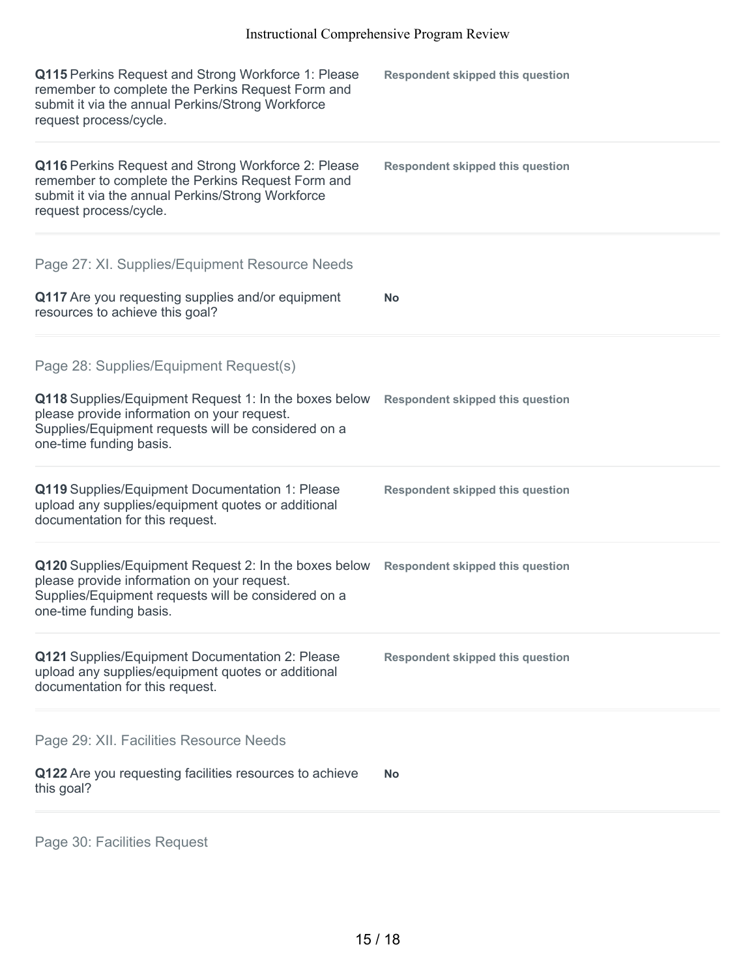| <b>Q115</b> Perkins Request and Strong Workforce 1: Please<br>remember to complete the Perkins Request Form and<br>submit it via the annual Perkins/Strong Workforce<br>request process/cycle.                                   | <b>Respondent skipped this question</b> |
|----------------------------------------------------------------------------------------------------------------------------------------------------------------------------------------------------------------------------------|-----------------------------------------|
| Q116 Perkins Request and Strong Workforce 2: Please<br>remember to complete the Perkins Request Form and<br>submit it via the annual Perkins/Strong Workforce<br>request process/cycle.                                          | <b>Respondent skipped this question</b> |
| Page 27: XI. Supplies/Equipment Resource Needs<br>Q117 Are you requesting supplies and/or equipment<br>resources to achieve this goal?                                                                                           | <b>No</b>                               |
| Page 28: Supplies/Equipment Request(s)<br>Q118 Supplies/Equipment Request 1: In the boxes below<br>please provide information on your request.<br>Supplies/Equipment requests will be considered on a<br>one-time funding basis. | <b>Respondent skipped this question</b> |
| Q119 Supplies/Equipment Documentation 1: Please<br>upload any supplies/equipment quotes or additional<br>documentation for this request.                                                                                         | <b>Respondent skipped this question</b> |
| Q120 Supplies/Equipment Request 2: In the boxes below<br>please provide information on your request.<br>Supplies/Equipment requests will be considered on a<br>one-time funding basis.                                           | <b>Respondent skipped this question</b> |
| Q121 Supplies/Equipment Documentation 2: Please<br>upload any supplies/equipment quotes or additional<br>documentation for this request.                                                                                         | <b>Respondent skipped this question</b> |
| Page 29: XII. Facilities Resource Needs<br>Q122 Are you requesting facilities resources to achieve<br>this goal?                                                                                                                 | <b>No</b>                               |
|                                                                                                                                                                                                                                  |                                         |

Page 30: Facilities Request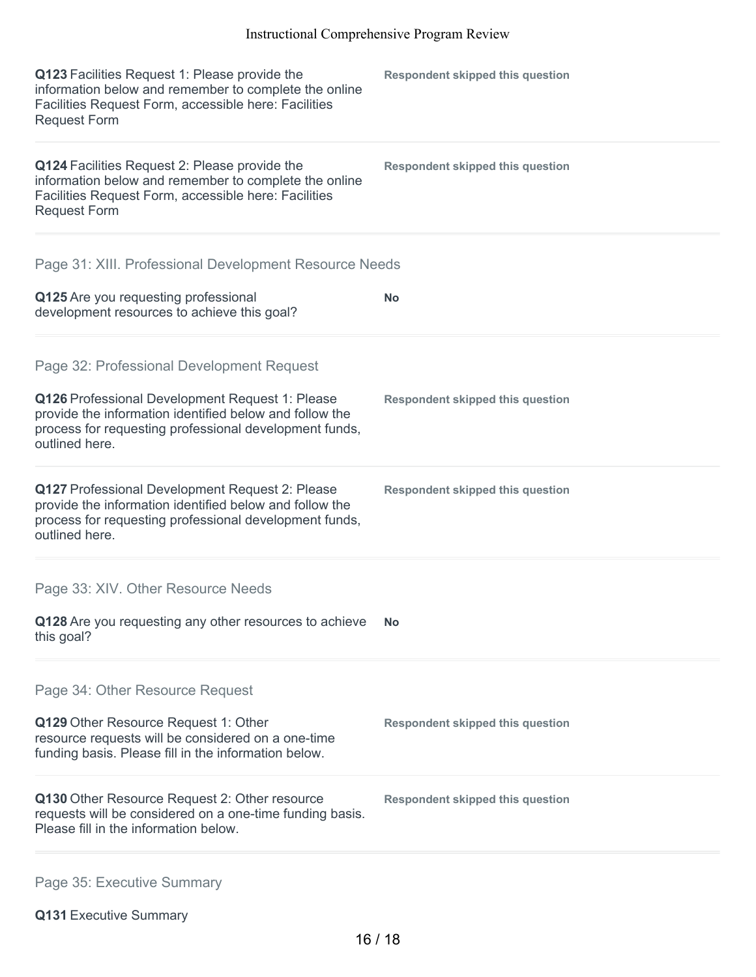| Q123 Facilities Request 1: Please provide the<br>information below and remember to complete the online<br>Facilities Request Form, accessible here: Facilities<br><b>Request Form</b>  | <b>Respondent skipped this question</b> |
|----------------------------------------------------------------------------------------------------------------------------------------------------------------------------------------|-----------------------------------------|
| Q124 Facilities Request 2: Please provide the<br>information below and remember to complete the online<br>Facilities Request Form, accessible here: Facilities<br><b>Request Form</b>  | <b>Respondent skipped this question</b> |
| Page 31: XIII. Professional Development Resource Needs                                                                                                                                 |                                         |
| Q125 Are you requesting professional<br>development resources to achieve this goal?                                                                                                    | <b>No</b>                               |
| Page 32: Professional Development Request                                                                                                                                              |                                         |
| Q126 Professional Development Request 1: Please<br>provide the information identified below and follow the<br>process for requesting professional development funds,<br>outlined here. | <b>Respondent skipped this question</b> |
| Q127 Professional Development Request 2: Please<br>provide the information identified below and follow the<br>process for requesting professional development funds,<br>outlined here. | <b>Respondent skipped this question</b> |
| Page 33: XIV. Other Resource Needs                                                                                                                                                     |                                         |
| Q128 Are you requesting any other resources to achieve<br>this goal?                                                                                                                   | No.                                     |
| Page 34: Other Resource Request                                                                                                                                                        |                                         |
| Q129 Other Resource Request 1: Other<br>resource requests will be considered on a one-time<br>funding basis. Please fill in the information below.                                     | <b>Respondent skipped this question</b> |
| Q130 Other Resource Request 2: Other resource<br>requests will be considered on a one-time funding basis.<br>Please fill in the information below.                                     | <b>Respondent skipped this question</b> |
|                                                                                                                                                                                        |                                         |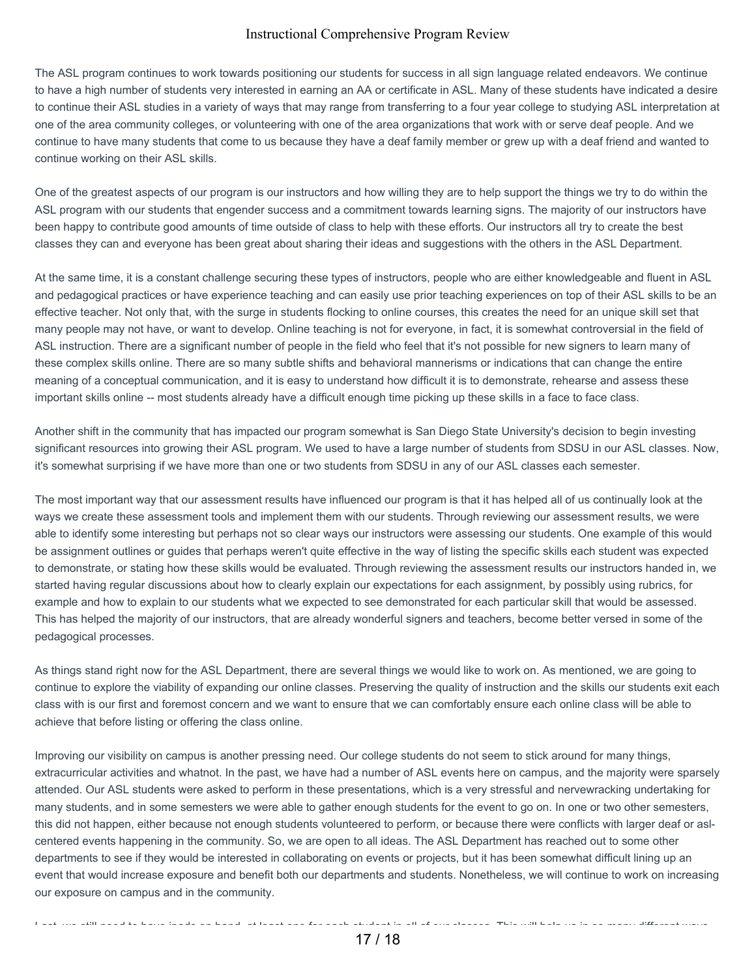The ASL program continues to work towards positioning our students for success in all sign language related endeavors. We continue to have a high number of students very interested in earning an AA or certificate in ASL. Many of these students have indicated a desire to continue their ASL studies in a variety of ways that may range from transferring to a four year college to studying ASL interpretation at one of the area community colleges, or volunteering with one of the area organizations that work with or serve deaf people. And we continue to have many students that come to us because they have a deaf family member or grew up with a deaf friend and wanted to continue working on their ASL skills.

One of the greatest aspects of our program is our instructors and how willing they are to help support the things we try to do within the ASL program with our students that engender success and a commitment towards learning signs. The majority of our instructors have been happy to contribute good amounts of time outside of class to help with these efforts. Our instructors all try to create the best classes they can and everyone has been great about sharing their ideas and suggestions with the others in the ASL Department.

At the same time, it is a constant challenge securing these types of instructors, people who are either knowledgeable and fluent in ASL and pedagogical practices or have experience teaching and can easily use prior teaching experiences on top of their ASL skills to be an effective teacher. Not only that, with the surge in students flocking to online courses, this creates the need for an unique skill set that many people may not have, or want to develop. Online teaching is not for everyone, in fact, it is somewhat controversial in the field of ASL instruction. There are a significant number of people in the field who feel that it's not possible for new signers to learn many of these complex skills online. There are so many subtle shifts and behavioral mannerisms or indications that can change the entire meaning of a conceptual communication, and it is easy to understand how difficult it is to demonstrate, rehearse and assess these important skills online -- most students already have a difficult enough time picking up these skills in a face to face class.

Another shift in the community that has impacted our program somewhat is San Diego State University's decision to begin investing significant resources into growing their ASL program. We used to have a large number of students from SDSU in our ASL classes. Now, it's somewhat surprising if we have more than one or two students from SDSU in any of our ASL classes each semester.

The most important way that our assessment results have influenced our program is that it has helped all of us continually look at the ways we create these assessment tools and implement them with our students. Through reviewing our assessment results, we were able to identify some interesting but perhaps not so clear ways our instructors were assessing our students. One example of this would be assignment outlines or guides that perhaps weren't quite effective in the way of listing the specific skills each student was expected to demonstrate, or stating how these skills would be evaluated. Through reviewing the assessment results our instructors handed in, we started having regular discussions about how to clearly explain our expectations for each assignment, by possibly using rubrics, for example and how to explain to our students what we expected to see demonstrated for each particular skill that would be assessed. This has helped the majority of our instructors, that are already wonderful signers and teachers, become better versed in some of the pedagogical processes.

As things stand right now for the ASL Department, there are several things we would like to work on. As mentioned, we are going to continue to explore the viability of expanding our online classes. Preserving the quality of instruction and the skills our students exit each class with is our first and foremost concern and we want to ensure that we can comfortably ensure each online class will be able to achieve that before listing or offering the class online.

Improving our visibility on campus is another pressing need. Our college students do not seem to stick around for many things, extracurricular activities and whatnot. In the past, we have had a number of ASL events here on campus, and the majority were sparsely attended. Our ASL students were asked to perform in these presentations, which is a very stressful and nervewracking undertaking for many students, and in some semesters we were able to gather enough students for the event to go on. In one or two other semesters, this did not happen, either because not enough students volunteered to perform, or because there were conflicts with larger deaf or aslcentered events happening in the community. So, we are open to all ideas. The ASL Department has reached out to some other departments to see if they would be interested in collaborating on events or projects, but it has been somewhat difficult lining up an event that would increase exposure and benefit both our departments and students. Nonetheless, we will continue to work on increasing our exposure on campus and in the community.

Last, we still need to have ipads on hand, at least one for each student in all of our classes. This will help us in so many different ways,